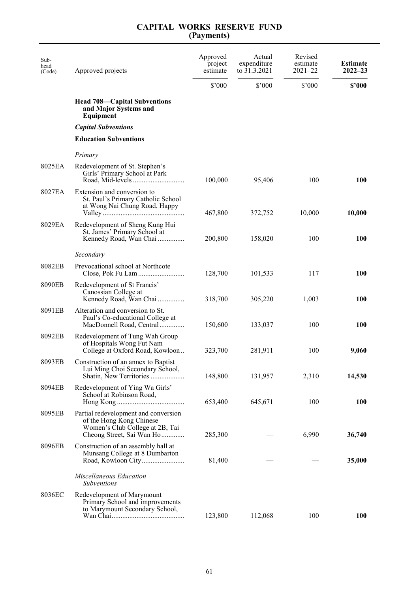| Sub-<br>head<br>(Code) | Approved projects                                                                                                                | Approved<br>project<br>estimate | Actual<br>expenditure<br>to 31.3.2021 | Revised<br>estimate<br>$2021 - 22$ | <b>Estimate</b><br>$2022 - 23$ |
|------------------------|----------------------------------------------------------------------------------------------------------------------------------|---------------------------------|---------------------------------------|------------------------------------|--------------------------------|
|                        |                                                                                                                                  | \$3000                          | \$'000                                | \$'000                             | \$2000                         |
|                        | <b>Head 708—Capital Subventions</b><br>and Major Systems and<br>Equipment                                                        |                                 |                                       |                                    |                                |
|                        | <b>Capital Subventions</b>                                                                                                       |                                 |                                       |                                    |                                |
|                        | <b>Education Subventions</b>                                                                                                     |                                 |                                       |                                    |                                |
|                        | Primary                                                                                                                          |                                 |                                       |                                    |                                |
| 8025EA                 | Redevelopment of St. Stephen's<br>Girls' Primary School at Park                                                                  | 100,000                         | 95,406                                | 100                                | 100                            |
| 8027EA                 | Extension and conversion to<br>St. Paul's Primary Catholic School<br>at Wong Nai Chung Road, Happy                               | 467,800                         | 372,752                               | 10,000                             | 10,000                         |
| 8029EA                 | Redevelopment of Sheng Kung Hui<br>St. James' Primary School at<br>Kennedy Road, Wan Chai                                        | 200,800                         | 158,020                               | 100                                | 100                            |
|                        | Secondary                                                                                                                        |                                 |                                       |                                    |                                |
| 8082EB                 | Prevocational school at Northcote                                                                                                | 128,700                         | 101,533                               | 117                                | 100                            |
| 8090EB                 | Redevelopment of St Francis'<br>Canossian College at<br>Kennedy Road, Wan Chai                                                   | 318,700                         | 305,220                               | 1,003                              | 100                            |
| 8091EB                 | Alteration and conversion to St.<br>Paul's Co-educational College at<br>MacDonnell Road, Central                                 | 150,600                         | 133,037                               | 100                                | <b>100</b>                     |
| 8092EB                 | Redevelopment of Tung Wah Group<br>of Hospitals Wong Fut Nam<br>College at Oxford Road, Kowloon                                  | 323,700                         | 281,911                               | 100                                | 9,060                          |
| 8093EB                 | Construction of an annex to Baptist<br>Lui Ming Choi Secondary School,<br>Shatin, New Territories                                | 148,800                         | 131,957                               | 2,310                              | 14,530                         |
| 8094EB                 | Redevelopment of Ying Wa Girls'<br>School at Robinson Road,                                                                      | 653,400                         | 645,671                               | 100                                | <b>100</b>                     |
| 8095EB                 | Partial redevelopment and conversion<br>of the Hong Kong Chinese<br>Women's Club College at 2B, Tai<br>Cheong Street, Sai Wan Ho | 285,300                         |                                       | 6,990                              | 36,740                         |
| 8096EB                 | Construction of an assembly hall at<br>Munsang College at 8 Dumbarton                                                            | 81,400                          |                                       |                                    | 35,000                         |
|                        | Miscellaneous Education<br>Subventions                                                                                           |                                 |                                       |                                    |                                |
| 8036EC                 | Redevelopment of Marymount<br>Primary School and improvements<br>to Marymount Secondary School,                                  | 123,800                         | 112,068                               | 100                                | <b>100</b>                     |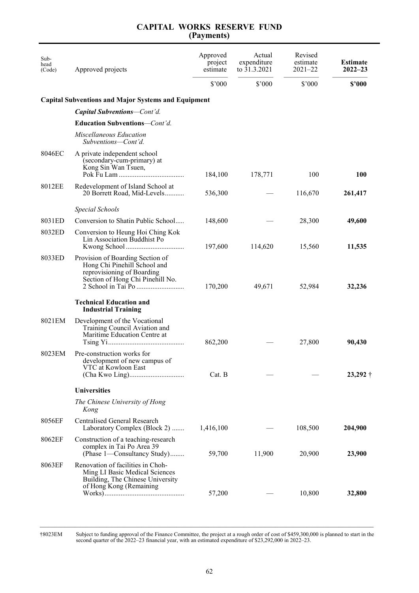|            |  | <b>CAPITAL WORKS RESERVE FUND</b> |  |  |  |  |
|------------|--|-----------------------------------|--|--|--|--|
| (Payments) |  |                                   |  |  |  |  |

| Sub-<br>head<br>(Code) | Approved projects                                                                                                                  | Approved<br>project<br>estimate | Actual<br>expenditure<br>to 31.3.2021 | Revised<br>estimate<br>$2021 - 22$ | <b>Estimate</b><br>$2022 - 23$ |
|------------------------|------------------------------------------------------------------------------------------------------------------------------------|---------------------------------|---------------------------------------|------------------------------------|--------------------------------|
|                        |                                                                                                                                    | $$^{\prime}000$                 | \$'000                                | \$'000                             | \$2000                         |
|                        | <b>Capital Subventions and Major Systems and Equipment</b>                                                                         |                                 |                                       |                                    |                                |
|                        | <b>Capital Subventions–Cont'd.</b>                                                                                                 |                                 |                                       |                                    |                                |
|                        | Education Subventions-Cont'd.                                                                                                      |                                 |                                       |                                    |                                |
|                        | Miscellaneous Education<br>Subventions—Cont'd.                                                                                     |                                 |                                       |                                    |                                |
| 8046EC                 | A private independent school<br>(secondary-cum-primary) at<br>Kong Sin Wan Tsuen,                                                  | 184,100                         | 178,771                               | 100                                | 100                            |
| 8012EE                 | Redevelopment of Island School at<br>20 Borrett Road, Mid-Levels                                                                   | 536,300                         |                                       | 116,670                            | 261,417                        |
|                        | <b>Special Schools</b>                                                                                                             |                                 |                                       |                                    |                                |
| 8031ED                 | Conversion to Shatin Public School                                                                                                 | 148,600                         |                                       | 28,300                             | 49,600                         |
| 8032ED                 | Conversion to Heung Hoi Ching Kok<br>Lin Association Buddhist Po                                                                   | 197,600                         | 114,620                               | 15,560                             | 11,535                         |
| 8033ED                 | Provision of Boarding Section of<br>Hong Chi Pinehill School and<br>reprovisioning of Boarding<br>Section of Hong Chi Pinehill No. | 170,200                         | 49,671                                | 52,984                             | 32,236                         |
|                        | <b>Technical Education and</b><br><b>Industrial Training</b>                                                                       |                                 |                                       |                                    |                                |
| 8021EM                 | Development of the Vocational<br>Training Council Aviation and<br>Maritime Education Centre at                                     | 862,200                         |                                       | 27,800                             | 90,430                         |
| 8023EM                 | Pre-construction works for<br>development of new campus of<br>VTC at Kowloon East                                                  | Cat. B                          |                                       |                                    | $23,292 \dagger$               |
|                        | <b>Universities</b>                                                                                                                |                                 |                                       |                                    |                                |
|                        | The Chinese University of Hong<br>Kong                                                                                             |                                 |                                       |                                    |                                |
| 8056EF                 | Centralised General Research<br>Laboratory Complex (Block 2)                                                                       | 1,416,100                       |                                       | 108,500                            | 204,900                        |
| 8062EF                 | Construction of a teaching-research<br>complex in Tai Po Area 39<br>(Phase 1—Consultancy Study)                                    | 59,700                          | 11,900                                | 20,900                             | 23,900                         |
| 8063EF                 | Renovation of facilities in Choh-<br>Ming LI Basic Medical Sciences<br>Building, The Chinese University<br>of Hong Kong (Remaining | 57,200                          |                                       | 10,800                             | 32,800                         |

\_\_\_\_\_\_\_\_\_\_\_\_\_\_\_\_\_\_\_\_\_\_\_\_\_\_\_\_\_\_\_\_\_\_\_\_\_\_\_\_\_\_\_\_\_\_\_\_\_\_\_\_\_\_\_\_\_\_\_\_\_\_\_\_\_\_\_\_\_\_\_\_\_\_\_\_\_\_\_\_\_\_\_\_\_\_\_\_\_\_\_\_\_\_\_ †8023EM Subject to funding approval of the Finance Committee, the project at a rough order of cost of \$459,300,000 is planned to start in the second quarter of the 2022–23 financial year, with an estimated expenditure of \$23,292,000 in 2022–23.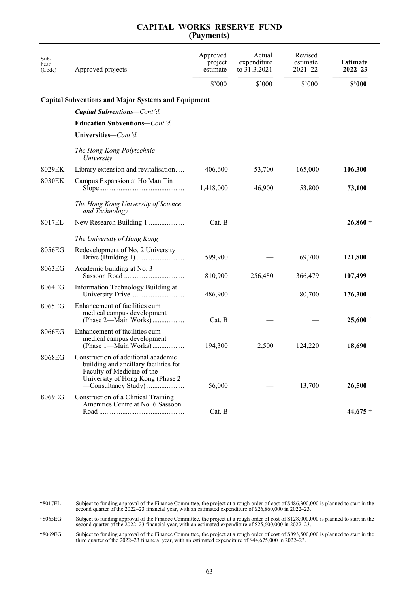| Sub-<br>head<br>(Code) | Approved projects                                                                                                                                                      | Approved<br>project<br>estimate | Actual<br>expenditure<br>to $31.3.2021$ | Revised<br>estimate<br>$2021 - 22$ | <b>Estimate</b><br>$2022 - 23$ |
|------------------------|------------------------------------------------------------------------------------------------------------------------------------------------------------------------|---------------------------------|-----------------------------------------|------------------------------------|--------------------------------|
|                        |                                                                                                                                                                        | $$^{\prime}000$                 | \$'000                                  | \$'000                             | \$2000                         |
|                        | <b>Capital Subventions and Major Systems and Equipment</b>                                                                                                             |                                 |                                         |                                    |                                |
|                        | <b>Capital Subventions–Cont'd.</b>                                                                                                                                     |                                 |                                         |                                    |                                |
|                        | Education Subventions-Cont'd.                                                                                                                                          |                                 |                                         |                                    |                                |
|                        | Universities-Cont'd.                                                                                                                                                   |                                 |                                         |                                    |                                |
|                        | The Hong Kong Polytechnic<br>University                                                                                                                                |                                 |                                         |                                    |                                |
| 8029EK                 | Library extension and revitalisation                                                                                                                                   | 406,600                         | 53,700                                  | 165,000                            | 106,300                        |
| 8030EK                 | Campus Expansion at Ho Man Tin                                                                                                                                         | 1,418,000                       | 46,900                                  | 53,800                             | 73,100                         |
|                        | The Hong Kong University of Science<br>and Technology                                                                                                                  |                                 |                                         |                                    |                                |
| 8017EL                 | New Research Building 1                                                                                                                                                | Cat. B                          |                                         |                                    | $26,860\dagger$                |
|                        | The University of Hong Kong                                                                                                                                            |                                 |                                         |                                    |                                |
| 8056EG                 | Redevelopment of No. 2 University                                                                                                                                      | 599,900                         |                                         | 69,700                             | 121,800                        |
| 8063EG                 | Academic building at No. 3                                                                                                                                             | 810,900                         | 256,480                                 | 366,479                            | 107,499                        |
| 8064EG                 | Information Technology Building at                                                                                                                                     | 486,900                         |                                         | 80,700                             | 176,300                        |
| 8065EG                 | Enhancement of facilities cum<br>medical campus development<br>(Phase 2—Main Works)                                                                                    | Cat. B                          |                                         |                                    | $25,600 \dagger$               |
| 8066EG                 | Enhancement of facilities cum<br>medical campus development<br>(Phase 1—Main Works)                                                                                    | 194,300                         | 2,500                                   | 124,220                            | 18,690                         |
| 8068EG                 | Construction of additional academic<br>building and ancillary facilities for<br>Faculty of Medicine of the<br>University of Hong Kong (Phase 2)<br>-Consultancy Study) | 56,000                          |                                         | 13,700                             | 26,500                         |
| 8069EG                 | Construction of a Clinical Training<br>Amenities Centre at No. 6 Sassoon                                                                                               | Cat. B                          |                                         |                                    | 44,675 †                       |

 $\mathcal{L}_\mathcal{L} = \mathcal{L}_\mathcal{L} = \mathcal{L}_\mathcal{L} = \mathcal{L}_\mathcal{L} = \mathcal{L}_\mathcal{L} = \mathcal{L}_\mathcal{L} = \mathcal{L}_\mathcal{L} = \mathcal{L}_\mathcal{L} = \mathcal{L}_\mathcal{L} = \mathcal{L}_\mathcal{L} = \mathcal{L}_\mathcal{L} = \mathcal{L}_\mathcal{L} = \mathcal{L}_\mathcal{L} = \mathcal{L}_\mathcal{L} = \mathcal{L}_\mathcal{L} = \mathcal{L}_\mathcal{L} = \mathcal{L}_\mathcal{L}$ †8017EL Subject to funding approval of the Finance Committee, the project at a rough order of cost of \$486,300,000 is planned to start in the second quarter of the 2022–23 financial year, with an estimated expenditure of \$

†8065EG Subject to funding approval of the Finance Committee, the project at a rough order of cost of \$128,000,000 is planned to start in the second quarter of the 2022–23 financial year, with an estimated expenditure of \$25,600,000 in 2022–23.

†8069EG Subject to funding approval of the Finance Committee, the project at a rough order of cost of \$893,500,000 is planned to start in the third quarter of the 2022–23 financial year, with an estimated expenditure of \$44,675,000 in 2022–23.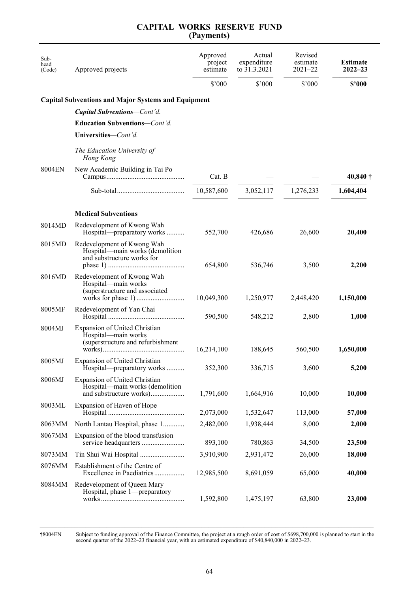| Sub-<br>head<br>(Code) | Approved projects                                                                                  | Approved<br>project<br>estimate<br>$$^{\prime}000$ | Actual<br>expenditure<br>to $31.3.2021$<br>\$'000 | Revised<br>estimate<br>$2021 - 22$<br>\$'000 | <b>Estimate</b><br>$2022 - 23$<br>\$2000 |
|------------------------|----------------------------------------------------------------------------------------------------|----------------------------------------------------|---------------------------------------------------|----------------------------------------------|------------------------------------------|
|                        | <b>Capital Subventions and Major Systems and Equipment</b>                                         |                                                    |                                                   |                                              |                                          |
|                        | Capital Subventions-Cont'd.                                                                        |                                                    |                                                   |                                              |                                          |
|                        | <b>Education Subventions</b> — <i>Cont'd.</i>                                                      |                                                    |                                                   |                                              |                                          |
|                        | Universities-Cont'd.                                                                               |                                                    |                                                   |                                              |                                          |
|                        | The Education University of<br>Hong Kong                                                           |                                                    |                                                   |                                              |                                          |
| 8004EN                 | New Academic Building in Tai Po                                                                    | Cat. B                                             |                                                   |                                              | $40,840\dagger$                          |
|                        |                                                                                                    | 10,587,600                                         | 3,052,117                                         | 1,276,233                                    | 1,604,404                                |
|                        | <b>Medical Subventions</b>                                                                         |                                                    |                                                   |                                              |                                          |
| 8014MD                 | Redevelopment of Kwong Wah<br>Hospital—preparatory works                                           | 552,700                                            | 426,686                                           | 26,600                                       | 20,400                                   |
| 8015MD                 | Redevelopment of Kwong Wah<br>Hospital-main works (demolition<br>and substructure works for        | 654,800                                            | 536,746                                           | 3,500                                        | 2,200                                    |
| 8016MD                 | Redevelopment of Kwong Wah<br>Hospital-main works<br>(superstructure and associated                | 10,049,300                                         | 1,250,977                                         | 2,448,420                                    | 1,150,000                                |
| 8005MF                 | Redevelopment of Yan Chai                                                                          | 590,500                                            | 548,212                                           | 2,800                                        | 1,000                                    |
| 8004MJ                 | <b>Expansion of United Christian</b><br>Hospital-main works<br>(superstructure and refurbishment   | 16,214,100                                         | 188,645                                           | 560,500                                      | 1,650,000                                |
| 8005MJ                 | Expansion of United Christian<br>Hospital—preparatory works                                        | 352,300                                            | 336,715                                           | 3,600                                        | 5,200                                    |
| 8006MJ                 | <b>Expansion of United Christian</b><br>Hospital—main works (demolition<br>and substructure works) | 1,791,600                                          | 1,664,916                                         | 10,000                                       | 10,000                                   |
| 8003ML                 | Expansion of Haven of Hope                                                                         | 2,073,000                                          | 1,532,647                                         | 113,000                                      | 57,000                                   |
| 8063MM                 | North Lantau Hospital, phase 1                                                                     | 2,482,000                                          | 1,938,444                                         | 8,000                                        | 2,000                                    |
| 8067MM                 | Expansion of the blood transfusion                                                                 | 893,100                                            | 780,863                                           | 34,500                                       | 23,500                                   |
| 8073MM                 | Tin Shui Wai Hospital                                                                              | 3,910,900                                          | 2,931,472                                         | 26,000                                       | 18,000                                   |
| 8076MM                 | Establishment of the Centre of<br>Excellence in Paediatrics                                        | 12,985,500                                         | 8,691,059                                         | 65,000                                       | 40,000                                   |
| 8084MM                 | Redevelopment of Queen Mary<br>Hospital, phase 1-preparatory                                       | 1,592,800                                          | 1,475,197                                         | 63,800                                       | 23,000                                   |

†8004EN Subject to funding approval of the Finance Committee, the project at a rough order of cost of \$698,700,000 is planned to start in the second quarter of the 2022–23 financial year, with an estimated expenditure of \$40,840,000 in 2022–23.

\_\_\_\_\_\_\_\_\_\_\_\_\_\_\_\_\_\_\_\_\_\_\_\_\_\_\_\_\_\_\_\_\_\_\_\_\_\_\_\_\_\_\_\_\_\_\_\_\_\_\_\_\_\_\_\_\_\_\_\_\_\_\_\_\_\_\_\_\_\_\_\_\_\_\_\_\_\_\_\_\_\_\_\_\_\_\_\_\_\_\_\_\_\_\_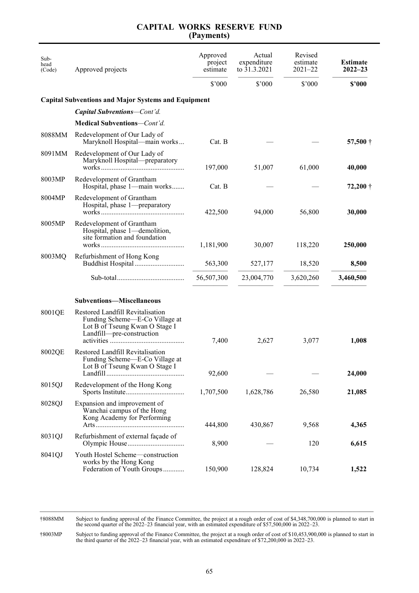| Sub-<br>head<br>(Code) | Approved projects                                                                                                                 | Approved<br>project<br>estimate | Actual<br>expenditure<br>to $31.3.2021$ | Revised<br>estimate<br>$2021 - 22$ | <b>Estimate</b><br>$2022 - 23$ |
|------------------------|-----------------------------------------------------------------------------------------------------------------------------------|---------------------------------|-----------------------------------------|------------------------------------|--------------------------------|
|                        |                                                                                                                                   | $$^{\prime}000$                 | \$'000                                  | \$'000                             | \$2000                         |
|                        | <b>Capital Subventions and Major Systems and Equipment</b>                                                                        |                                 |                                         |                                    |                                |
|                        | <b>Capital Subventions–Cont'd.</b>                                                                                                |                                 |                                         |                                    |                                |
|                        | Medical Subventions-Cont'd.                                                                                                       |                                 |                                         |                                    |                                |
| 8088MM                 | Redevelopment of Our Lady of<br>Maryknoll Hospital—main works                                                                     | Cat. B                          |                                         |                                    | 57,500 $\dagger$               |
| 8091MM                 | Redevelopment of Our Lady of<br>Maryknoll Hospital-preparatory                                                                    | 197,000                         | 51,007                                  | 61,000                             | 40,000                         |
| 8003MP                 | Redevelopment of Grantham<br>Hospital, phase 1—main works                                                                         | Cat. B                          |                                         |                                    | $72,200 \dagger$               |
| 8004MP                 | Redevelopment of Grantham<br>Hospital, phase 1-preparatory                                                                        | 422,500                         | 94,000                                  | 56,800                             | 30,000                         |
| 8005MP                 | Redevelopment of Grantham<br>Hospital, phase 1—demolition,<br>site formation and foundation                                       | 1,181,900                       | 30,007                                  | 118,220                            | 250,000                        |
| 8003MQ                 | Refurbishment of Hong Kong                                                                                                        | 563,300                         | 527,177                                 | 18,520                             | 8,500                          |
|                        |                                                                                                                                   | 56,507,300                      | 23,004,770                              | 3,620,260                          | 3,460,500                      |
|                        | <b>Subventions-Miscellaneous</b>                                                                                                  |                                 |                                         |                                    |                                |
| 8001QE                 | Restored Landfill Revitalisation<br>Funding Scheme—E-Co Village at<br>Lot B of Tseung Kwan O Stage I<br>Landfill-pre-construction | 7,400                           | 2,627                                   | 3,077                              | 1,008                          |
| 8002QE                 | Restored Landfill Revitalisation<br>Funding Scheme—E-Co Village at<br>Lot B of Tseung Kwan O Stage I                              | 92,600                          |                                         |                                    | 24,000                         |
| 8015QJ                 | Redevelopment of the Hong Kong                                                                                                    | 1,707,500                       | 1,628,786                               | 26,580                             | 21,085                         |
| 8028QJ                 | Expansion and improvement of<br>Wanchai campus of the Hong<br>Kong Academy for Performing                                         | 444,800                         | 430,867                                 | 9,568                              | 4,365                          |
| 8031QJ                 | Refurbishment of external façade of                                                                                               | 8,900                           |                                         | 120                                | 6,615                          |
| 8041QJ                 | Youth Hostel Scheme—construction<br>works by the Hong Kong<br>Federation of Youth Groups                                          | 150,900                         | 128,824                                 | 10,734                             | 1,522                          |

†8088MM Subject to funding approval of the Finance Committee, the project at a rough order of cost of \$4,348,700,000 is planned to start in the second quarter of the 2022–23 financial year, with an estimated expenditure of \$57,500,000 in 2022–23.

†8003MP Subject to funding approval of the Finance Committee, the project at a rough order of cost of \$10,453,900,000 is planned to start in the third quarter of the 2022–23 financial year, with an estimated expenditure of \$72,200,000 in 2022–23.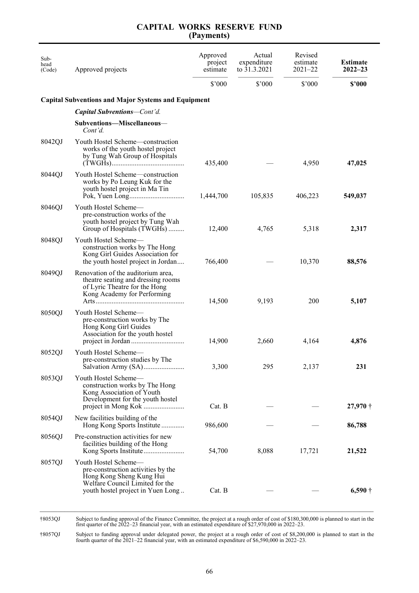| Sub-<br>head<br>(Code) | Approved projects                                                                                                                                              | Approved<br>project<br>estimate<br>\$3000 | Actual<br>expenditure<br>to 31.3.2021<br>\$'000 | Revised<br>estimate<br>$2021 - 22$<br>\$'000 | <b>Estimate</b><br>$2022 - 23$<br>\$3000 |
|------------------------|----------------------------------------------------------------------------------------------------------------------------------------------------------------|-------------------------------------------|-------------------------------------------------|----------------------------------------------|------------------------------------------|
|                        | <b>Capital Subventions and Major Systems and Equipment</b>                                                                                                     |                                           |                                                 |                                              |                                          |
|                        | <b>Capital Subventions</b> —Cont'd.                                                                                                                            |                                           |                                                 |                                              |                                          |
|                        | Subventions-Miscellaneous-<br>Cont'd.                                                                                                                          |                                           |                                                 |                                              |                                          |
| 8042QJ                 | Youth Hostel Scheme-construction<br>works of the youth hostel project<br>by Tung Wah Group of Hospitals                                                        | 435,400                                   |                                                 | 4,950                                        | 47,025                                   |
| 8044QJ                 | Youth Hostel Scheme-construction<br>works by Po Leung Kuk for the<br>youth hostel project in Ma Tin                                                            | 1,444,700                                 | 105,835                                         | 406,223                                      | 549,037                                  |
| 8046QJ                 | Youth Hostel Scheme-<br>pre-construction works of the<br>youth hostel project by Tung Wah<br>Group of Hospitals (TWGHs)                                        | 12,400                                    | 4,765                                           | 5,318                                        | 2,317                                    |
| 8048QJ                 | Youth Hostel Scheme—<br>construction works by The Hong<br>Kong Girl Guides Association for<br>the youth hostel project in Jordan                               | 766,400                                   |                                                 | 10,370                                       | 88,576                                   |
| 8049QJ                 | Renovation of the auditorium area,<br>theatre seating and dressing rooms<br>of Lyric Theatre for the Hong<br>Kong Academy for Performing                       | 14,500                                    | 9,193                                           | 200                                          | 5,107                                    |
| 8050QJ                 | Youth Hostel Scheme-<br>pre-construction works by The<br>Hong Kong Girl Guides<br>Association for the youth hostel                                             | 14,900                                    | 2,660                                           | 4,164                                        | 4,876                                    |
| 8052QJ                 | Youth Hostel Scheme-<br>pre-construction studies by The                                                                                                        | 3,300                                     | 295                                             | 2,137                                        | 231                                      |
| 8053QJ                 | Youth Hostel Scheme-<br>construction works by The Hong<br>Kong Association of Youth<br>Development for the youth hostel                                        | Cat. B                                    |                                                 |                                              | $27,970\dagger$                          |
| 8054QJ                 | New facilities building of the<br>Hong Kong Sports Institute                                                                                                   | 986,600                                   |                                                 |                                              | 86,788                                   |
| 8056QJ                 | Pre-construction activities for new<br>facilities building of the Hong                                                                                         | 54,700                                    | 8,088                                           | 17,721                                       | 21,522                                   |
| 8057QJ                 | Youth Hostel Scheme-<br>pre-construction activities by the<br>Hong Kong Sheng Kung Hui<br>Welfare Council Limited for the<br>youth hostel project in Yuen Long | Cat. B                                    |                                                 |                                              | $6,590\dagger$                           |

†8053QJ Subject to funding approval of the Finance Committee, the project at a rough order of cost of \$180,300,000 is planned to start in the first quarter of the 2022–23 financial year, with an estimated expenditure of \$27,970,000 in 2022–23.

†8057QJ Subject to funding approval under delegated power, the project at a rough order of cost of \$8,200,000 is planned to start in the fourth quarter of the 2021–22 financial year, with an estimated expenditure of \$6,590,000 in 2022–23.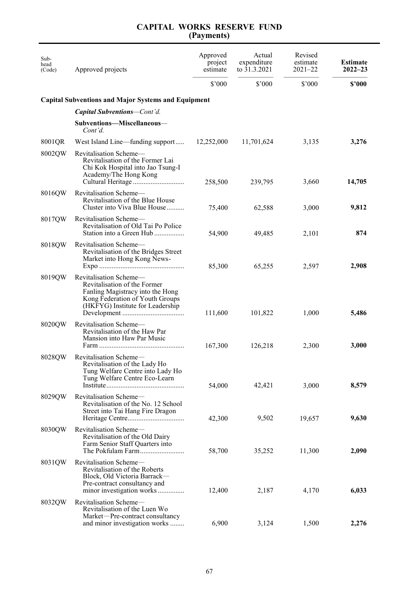| Sub-<br>head<br>(Code) | Approved projects                                                                                                                                                 | Approved<br>project<br>estimate | Actual<br>expenditure<br>to 31.3.2021 | Revised<br>estimate<br>$2021 - 22$ | <b>Estimate</b><br>$2022 - 23$ |
|------------------------|-------------------------------------------------------------------------------------------------------------------------------------------------------------------|---------------------------------|---------------------------------------|------------------------------------|--------------------------------|
|                        |                                                                                                                                                                   | \$'000                          | \$'000                                | \$'000                             | \$2000                         |
|                        | <b>Capital Subventions and Major Systems and Equipment</b>                                                                                                        |                                 |                                       |                                    |                                |
|                        | Capital Subventions-Cont'd.                                                                                                                                       |                                 |                                       |                                    |                                |
|                        | Subventions-Miscellaneous-<br>Cont'd.                                                                                                                             |                                 |                                       |                                    |                                |
| 8001QR                 | West Island Line—funding support                                                                                                                                  | 12,252,000                      | 11,701,624                            | 3,135                              | 3,276                          |
| 8002QW                 | Revitalisation Scheme-<br>Revitalisation of the Former Lai<br>Chi Kok Hospital into Jao Tsung-I<br>Academy/The Hong Kong                                          | 258,500                         | 239,795                               | 3,660                              | 14,705                         |
| 8016QW                 | Revitalisation Scheme-<br>Revitalisation of the Blue House<br>Cluster into Viva Blue House                                                                        | 75,400                          | 62,588                                | 3,000                              | 9,812                          |
| 8017QW                 | Revitalisation Scheme—<br>Revitalisation of Old Tai Po Police<br>Station into a Green Hub                                                                         | 54,900                          | 49,485                                | 2,101                              | 874                            |
| 8018QW                 | Revitalisation Scheme-<br>Revitalisation of the Bridges Street<br>Market into Hong Kong News-                                                                     | 85,300                          | 65,255                                | 2,597                              | 2,908                          |
| 8019QW                 | Revitalisation Scheme-<br>Revitalisation of the Former<br>Fanling Magistracy into the Hong<br>Kong Federation of Youth Groups<br>(HKFYG) Institute for Leadership | 111,600                         | 101,822                               | 1,000                              | 5,486                          |
| 8020QW                 | Revitalisation Scheme-<br>Revitalisation of the Haw Par<br>Mansion into Haw Par Music                                                                             | 167,300                         | 126,218                               | 2,300                              | 3,000                          |
| 8028QW                 | Revitalisation Scheme-<br>Revitalisation of the Lady Ho<br>Tung Welfare Centre into Lady Ho<br>Tung Welfare Centre Eco-Learn                                      | 54,000                          | 42,421                                | 3,000                              | 8,579                          |
| 8029QW                 | Revitalisation Scheme-<br>Revitalisation of the No. 12 School<br>Street into Tai Hang Fire Dragon                                                                 | 42,300                          | 9,502                                 | 19,657                             | 9,630                          |
| 8030QW                 | Revitalisation Scheme-<br>Revitalisation of the Old Dairy<br>Farm Senior Staff Quarters into<br>The Pokfulam Farm                                                 | 58,700                          | 35,252                                | 11,300                             | 2,090                          |
| 8031QW                 | Revitalisation Scheme-<br>Revitalisation of the Roberts<br>Block, Old Victoria Barrack-<br>Pre-contract consultancy and<br>minor investigation works              | 12,400                          | 2,187                                 | 4,170                              | 6,033                          |
| 8032QW                 | Revitalisation Scheme-<br>Revitalisation of the Luen Wo<br>Market-Pre-contract consultancy<br>and minor investigation works                                       | 6,900                           | 3,124                                 | 1,500                              | 2,276                          |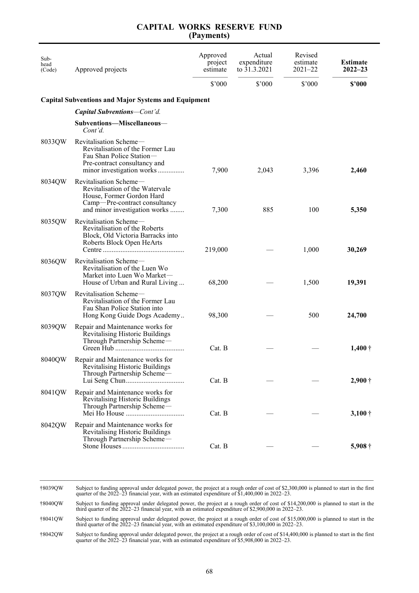|            |  | <b>CAPITAL WORKS RESERVE FUND</b> |  |  |  |  |
|------------|--|-----------------------------------|--|--|--|--|
| (Payments) |  |                                   |  |  |  |  |

| Sub-<br>head<br>(Code) | Approved projects                                                                                                                                        | Approved<br>project<br>estimate | Actual<br>expenditure<br>to 31.3.2021 | Revised<br>estimate<br>$2021 - 22$ | <b>Estimate</b><br>$2022 - 23$ |
|------------------------|----------------------------------------------------------------------------------------------------------------------------------------------------------|---------------------------------|---------------------------------------|------------------------------------|--------------------------------|
|                        |                                                                                                                                                          | \$'000                          | \$'000                                | \$'000                             | \$2000                         |
|                        | <b>Capital Subventions and Major Systems and Equipment</b>                                                                                               |                                 |                                       |                                    |                                |
|                        | <b>Capital Subventions–Cont'd.</b>                                                                                                                       |                                 |                                       |                                    |                                |
|                        | Subventions-Miscellaneous-<br>Cont'd.                                                                                                                    |                                 |                                       |                                    |                                |
| 8033QW                 | Revitalisation Scheme-<br>Revitalisation of the Former Lau<br>Fau Shan Police Station-<br>Pre-contract consultancy and<br>minor investigation works      | 7,900                           | 2,043                                 | 3,396                              | 2,460                          |
| 8034QW                 | Revitalisation Scheme-<br>Revitalisation of the Watervale<br>House, Former Gordon Hard<br>Camp-Pre-contract consultancy<br>and minor investigation works | 7,300                           | 885                                   | 100                                | 5,350                          |
| 8035QW                 | Revitalisation Scheme-<br>Revitalisation of the Roberts<br>Block, Old Victoria Barracks into<br>Roberts Block Open HeArts                                | 219,000                         |                                       | 1,000                              | 30,269                         |
| 8036QW                 | Revitalisation Scheme-<br>Revitalisation of the Luen Wo<br>Market into Luen Wo Market-<br>House of Urban and Rural Living                                | 68,200                          |                                       | 1,500                              | 19,391                         |
| 8037QW                 | Revitalisation Scheme-<br>Revitalisation of the Former Lau<br>Fau Shan Police Station into<br>Hong Kong Guide Dogs Academy                               | 98,300                          |                                       | 500                                | 24,700                         |
| 8039QW                 | Repair and Maintenance works for<br>Revitalising Historic Buildings<br>Through Partnership Scheme-                                                       | Cat. B                          |                                       |                                    | $1,400 \dagger$                |
|                        | 8040QW Repair and Maintenance works for<br>Revitalising Historic Buildings<br>Through Partnership Scheme-                                                | Cat. B                          |                                       |                                    | $2,900\dagger$                 |
| 8041QW                 | Repair and Maintenance works for<br>Revitalising Historic Buildings<br>Through Partnership Scheme-                                                       | Cat. B                          |                                       |                                    | $3,100 \dagger$                |
| 8042QW                 | Repair and Maintenance works for<br>Revitalising Historic Buildings<br>Through Partnership Scheme-                                                       | Cat. B                          |                                       |                                    | $5,908\dagger$                 |

\_\_\_\_\_\_\_\_\_\_\_\_\_\_\_\_\_\_\_\_\_\_\_\_\_\_\_\_\_\_\_\_\_\_\_\_\_\_\_\_\_\_\_\_\_\_\_\_\_\_\_\_\_\_\_\_\_\_\_\_\_\_\_\_\_\_\_\_\_\_\_\_\_\_\_\_\_\_\_\_\_\_\_\_\_\_\_\_\_\_\_\_\_\_\_ †8039QW Subject to funding approval under delegated power, the project at a rough order of cost of \$2,300,000 is planned to start in the first quarter of the 2022–23 financial year, with an estimated expenditure of \$1,400,000 in 2022–23.

†8040QW Subject to funding approval under delegated power, the project at a rough order of cost of \$14,200,000 is planned to start in the third quarter of the 2022–23 financial year, with an estimated expenditure of \$2,900

†8041QW Subject to funding approval under delegated power, the project at a rough order of cost of \$15,000,000 is planned to start in the third quarter of the 2022–23 financial year, with an estimated expenditure of \$3,100,000 in 2022–23.

†8042QW Subject to funding approval under delegated power, the project at a rough order of cost of \$14,400,000 is planned to start in the first quarter of the 2022–23 financial year, with an estimated expenditure of \$5,908,000 in 2022–23.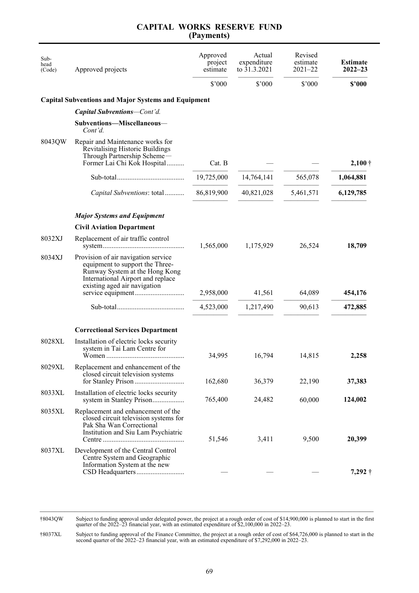| Sub-<br>head<br>(Code) | Approved projects                                                                                                                                                             | Approved<br>project<br>estimate<br>$$^{\prime}000$ | Actual<br>expenditure<br>to 31.3.2021<br>\$'000 | Revised<br>estimate<br>$2021 - 22$<br>\$'000 | <b>Estimate</b><br>$2022 - 23$<br>\$2000 |
|------------------------|-------------------------------------------------------------------------------------------------------------------------------------------------------------------------------|----------------------------------------------------|-------------------------------------------------|----------------------------------------------|------------------------------------------|
|                        | <b>Capital Subventions and Major Systems and Equipment</b>                                                                                                                    |                                                    |                                                 |                                              |                                          |
|                        | Capital Subventions-Cont'd.                                                                                                                                                   |                                                    |                                                 |                                              |                                          |
|                        | Subventions-Miscellaneous-<br>Cont'd.                                                                                                                                         |                                                    |                                                 |                                              |                                          |
| 8043QW                 | Repair and Maintenance works for<br>Revitalising Historic Buildings<br>Through Partnership Scheme-<br>Former Lai Chi Kok Hospital                                             | Cat. B                                             |                                                 |                                              | $2,100 \dagger$                          |
|                        |                                                                                                                                                                               | 19,725,000                                         | 14,764,141                                      | 565,078                                      | 1,064,881                                |
|                        | Capital Subventions: total                                                                                                                                                    | 86,819,900                                         | 40,821,028                                      | 5,461,571                                    | 6,129,785                                |
|                        | <b>Major Systems and Equipment</b>                                                                                                                                            |                                                    |                                                 |                                              |                                          |
|                        | <b>Civil Aviation Department</b>                                                                                                                                              |                                                    |                                                 |                                              |                                          |
| 8032XJ                 | Replacement of air traffic control                                                                                                                                            | 1,565,000                                          | 1,175,929                                       | 26,524                                       | 18,709                                   |
| 8034XJ                 | Provision of air navigation service<br>equipment to support the Three-<br>Runway System at the Hong Kong<br>International Airport and replace<br>existing aged air navigation |                                                    |                                                 |                                              |                                          |
|                        |                                                                                                                                                                               | 2,958,000                                          | 41,561                                          | 64,089                                       | 454,176                                  |
|                        |                                                                                                                                                                               | 4,523,000                                          | 1,217,490                                       | 90,613                                       | 472,885                                  |
|                        | <b>Correctional Services Department</b>                                                                                                                                       |                                                    |                                                 |                                              |                                          |
| 8028XL                 | Installation of electric locks security<br>system in Tai Lam Centre for                                                                                                       | 34,995                                             | 16,794                                          | 14,815                                       | 2,258                                    |
| 8029XL                 | Replacement and enhancement of the<br>closed circuit television systems                                                                                                       | 162,680                                            | 36,379                                          | 22,190                                       | 37,383                                   |
| 8033XL                 | Installation of electric locks security<br>system in Stanley Prison                                                                                                           | 765,400                                            | 24,482                                          | 60,000                                       | 124,002                                  |
| 8035XL                 | Replacement and enhancement of the<br>closed circuit television systems for<br>Pak Sha Wan Correctional<br>Institution and Siu Lam Psychiatric                                | 51,546                                             | 3,411                                           | 9,500                                        | 20,399                                   |
| 8037XL                 | Development of the Central Control<br>Centre System and Geographic<br>Information System at the new                                                                           |                                                    |                                                 |                                              | $7,292$ †                                |

†8043QW Subject to funding approval under delegated power, the project at a rough order of cost of \$14,900,000 is planned to start in the first quarter of the 2022–23 financial year, with an estimated expenditure of \$2,100,000 in 2022–23.

†8037XL Subject to funding approval of the Finance Committee, the project at a rough order of cost of \$64,726,000 is planned to start in the second quarter of the 2022–23 financial year, with an estimated expenditure of \$7,292,000 in 2022–23.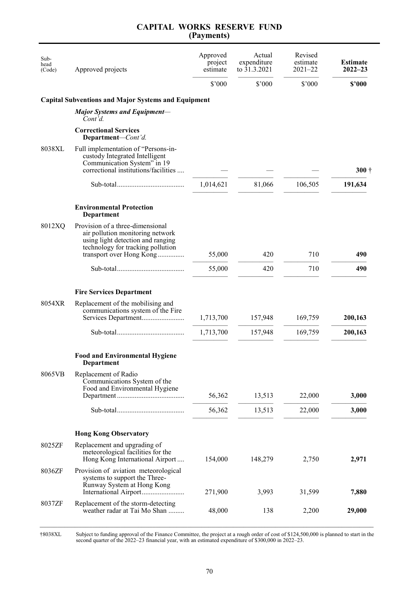| \$'000<br>$$^{\prime}000$<br>\$'000<br><b>Capital Subventions and Major Systems and Equipment</b><br><b>Major Systems and Equipment-</b><br>Cont'd.<br><b>Correctional Services</b><br>Department-Cont'd.<br>8038XL<br>Full implementation of "Persons-in-<br>custody Integrated Intelligent<br>Communication System" in 19<br>correctional institutions/facilities<br>1,014,621<br>81,066<br>106,505<br><b>Environmental Protection</b><br>Department<br>Provision of a three-dimensional<br>8012XQ<br>air pollution monitoring network<br>using light detection and ranging<br>technology for tracking pollution<br>710<br>transport over Hong Kong<br>55,000<br>420<br>55,000<br>420<br>710<br><b>Fire Services Department</b><br>8054XR<br>Replacement of the mobilising and<br>communications system of the Fire<br>169,759<br>Services Department<br>1,713,700<br>157,948<br>1,713,700<br>157,948<br>169,759 | \$2000  |
|--------------------------------------------------------------------------------------------------------------------------------------------------------------------------------------------------------------------------------------------------------------------------------------------------------------------------------------------------------------------------------------------------------------------------------------------------------------------------------------------------------------------------------------------------------------------------------------------------------------------------------------------------------------------------------------------------------------------------------------------------------------------------------------------------------------------------------------------------------------------------------------------------------------------|---------|
|                                                                                                                                                                                                                                                                                                                                                                                                                                                                                                                                                                                                                                                                                                                                                                                                                                                                                                                    |         |
|                                                                                                                                                                                                                                                                                                                                                                                                                                                                                                                                                                                                                                                                                                                                                                                                                                                                                                                    |         |
|                                                                                                                                                                                                                                                                                                                                                                                                                                                                                                                                                                                                                                                                                                                                                                                                                                                                                                                    |         |
|                                                                                                                                                                                                                                                                                                                                                                                                                                                                                                                                                                                                                                                                                                                                                                                                                                                                                                                    |         |
|                                                                                                                                                                                                                                                                                                                                                                                                                                                                                                                                                                                                                                                                                                                                                                                                                                                                                                                    | $300 +$ |
|                                                                                                                                                                                                                                                                                                                                                                                                                                                                                                                                                                                                                                                                                                                                                                                                                                                                                                                    | 191,634 |
|                                                                                                                                                                                                                                                                                                                                                                                                                                                                                                                                                                                                                                                                                                                                                                                                                                                                                                                    |         |
|                                                                                                                                                                                                                                                                                                                                                                                                                                                                                                                                                                                                                                                                                                                                                                                                                                                                                                                    | 490     |
|                                                                                                                                                                                                                                                                                                                                                                                                                                                                                                                                                                                                                                                                                                                                                                                                                                                                                                                    | 490     |
|                                                                                                                                                                                                                                                                                                                                                                                                                                                                                                                                                                                                                                                                                                                                                                                                                                                                                                                    |         |
|                                                                                                                                                                                                                                                                                                                                                                                                                                                                                                                                                                                                                                                                                                                                                                                                                                                                                                                    | 200,163 |
|                                                                                                                                                                                                                                                                                                                                                                                                                                                                                                                                                                                                                                                                                                                                                                                                                                                                                                                    | 200,163 |
| <b>Food and Environmental Hygiene</b><br>Department                                                                                                                                                                                                                                                                                                                                                                                                                                                                                                                                                                                                                                                                                                                                                                                                                                                                |         |
| 8065VB<br>Replacement of Radio<br>Communications System of the<br>Food and Environmental Hygiene                                                                                                                                                                                                                                                                                                                                                                                                                                                                                                                                                                                                                                                                                                                                                                                                                   |         |
| 56,362<br>13,513<br>22,000                                                                                                                                                                                                                                                                                                                                                                                                                                                                                                                                                                                                                                                                                                                                                                                                                                                                                         | 3,000   |
| 56,362<br>13,513<br>22,000                                                                                                                                                                                                                                                                                                                                                                                                                                                                                                                                                                                                                                                                                                                                                                                                                                                                                         | 3,000   |
| <b>Hong Kong Observatory</b>                                                                                                                                                                                                                                                                                                                                                                                                                                                                                                                                                                                                                                                                                                                                                                                                                                                                                       |         |
| 8025ZF<br>Replacement and upgrading of<br>meteorological facilities for the<br>Hong Kong International Airport<br>154,000<br>148,279<br>2,750                                                                                                                                                                                                                                                                                                                                                                                                                                                                                                                                                                                                                                                                                                                                                                      | 2,971   |
| 8036ZF<br>Provision of aviation meteorological<br>systems to support the Three-<br>Runway System at Hong Kong<br>3,993<br>International Airport<br>271,900<br>31,599                                                                                                                                                                                                                                                                                                                                                                                                                                                                                                                                                                                                                                                                                                                                               | 7,880   |
| 8037ZF<br>Replacement of the storm-detecting<br>138<br>weather radar at Tai Mo Shan<br>48,000<br>2,200                                                                                                                                                                                                                                                                                                                                                                                                                                                                                                                                                                                                                                                                                                                                                                                                             | 29,000  |

†8038XL Subject to funding approval of the Finance Committee, the project at a rough order of cost of \$124,500,000 is planned to start in the second quarter of the 2022–23 financial year, with an estimated expenditure of \$300,000 in 2022–23.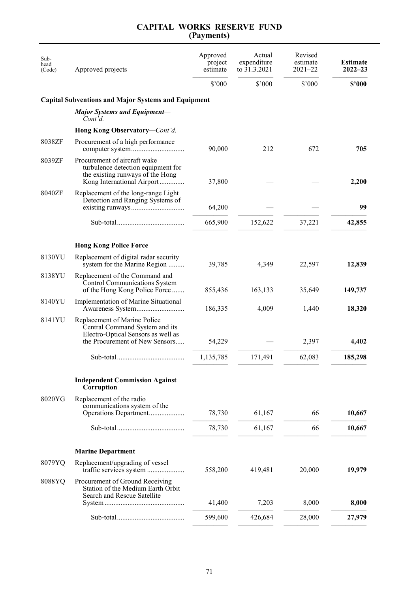| Sub-<br>head<br>(Code) | Approved projects                                                                                                                      | Approved<br>project<br>estimate | Actual<br>expenditure<br>to 31.3.2021 | Revised<br>estimate<br>$2021 - 22$ | <b>Estimate</b><br>$2022 - 23$ |
|------------------------|----------------------------------------------------------------------------------------------------------------------------------------|---------------------------------|---------------------------------------|------------------------------------|--------------------------------|
|                        |                                                                                                                                        | $$^{\prime}000$                 | \$'000                                | \$'000                             | \$2000                         |
|                        | <b>Capital Subventions and Major Systems and Equipment</b>                                                                             |                                 |                                       |                                    |                                |
|                        | <b>Major Systems and Equipment-</b><br>Cont'd.                                                                                         |                                 |                                       |                                    |                                |
|                        | Hong Kong Observatory-Cont'd.                                                                                                          |                                 |                                       |                                    |                                |
| 8038ZF                 | Procurement of a high performance                                                                                                      | 90,000                          | 212                                   | 672                                | 705                            |
| 8039ZF                 | Procurement of aircraft wake<br>turbulence detection equipment for<br>the existing runways of the Hong<br>Kong International Airport   | 37,800                          |                                       |                                    | 2,200                          |
| 8040ZF                 | Replacement of the long-range Light<br>Detection and Ranging Systems of                                                                | 64,200                          |                                       |                                    | 99                             |
|                        |                                                                                                                                        | 665,900                         | 152,622                               | 37,221                             | 42,855                         |
|                        |                                                                                                                                        |                                 |                                       |                                    |                                |
|                        | <b>Hong Kong Police Force</b>                                                                                                          |                                 |                                       |                                    |                                |
| 8130YU                 | Replacement of digital radar security<br>system for the Marine Region                                                                  | 39,785                          | 4,349                                 | 22,597                             | 12,839                         |
| 8138YU                 | Replacement of the Command and<br>Control Communications System<br>of the Hong Kong Police Force                                       | 855,436                         | 163,133                               | 35,649                             | 149,737                        |
| 8140YU                 | <b>Implementation of Marine Situational</b><br>Awareness System                                                                        | 186,335                         | 4,009                                 | 1,440                              | 18,320                         |
| 8141YU                 | Replacement of Marine Police<br>Central Command System and its<br>Electro-Optical Sensors as well as<br>the Procurement of New Sensors | 54,229                          |                                       | 2,397                              | 4,402                          |
|                        |                                                                                                                                        | 1,135,785                       | 171,491                               | 62,083                             | 185,298                        |
|                        | <b>Independent Commission Against</b><br>Corruption                                                                                    |                                 |                                       |                                    |                                |
| 8020YG                 | Replacement of the radio<br>communications system of the<br>Operations Department                                                      | 78,730                          | 61,167                                | 66                                 | 10,667                         |
|                        |                                                                                                                                        | 78,730                          | 61,167                                | 66                                 | 10,667                         |
|                        | <b>Marine Department</b>                                                                                                               |                                 |                                       |                                    |                                |
| 8079YQ                 | Replacement/upgrading of vessel                                                                                                        | 558,200                         | 419,481                               | 20,000                             | 19,979                         |
| 8088YQ                 | Procurement of Ground Receiving<br>Station of the Medium Earth Orbit<br>Search and Rescue Satellite                                    |                                 |                                       |                                    |                                |
|                        |                                                                                                                                        | 41,400                          | 7,203                                 | 8,000                              | 8,000                          |
|                        |                                                                                                                                        | 599,600                         | 426,684                               | 28,000                             | 27,979                         |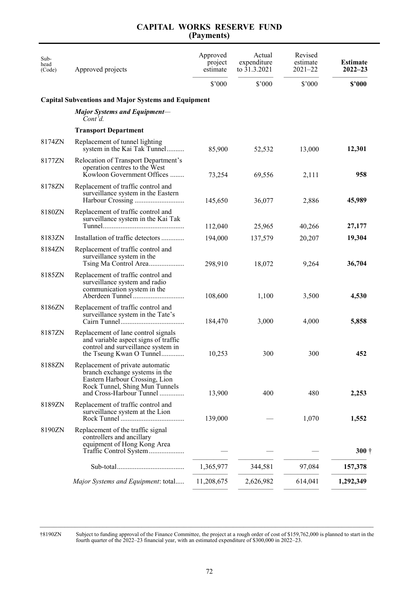| Sub-<br>head<br>(Code) | Approved projects                                                                                                                                                  | Approved<br>project<br>estimate | Actual<br>expenditure<br>to 31.3.2021 | Revised<br>estimate<br>$2021 - 22$ | <b>Estimate</b><br>$2022 - 23$ |
|------------------------|--------------------------------------------------------------------------------------------------------------------------------------------------------------------|---------------------------------|---------------------------------------|------------------------------------|--------------------------------|
|                        |                                                                                                                                                                    | $$^{\prime}000$                 | \$'000                                | \$'000                             | \$2000                         |
|                        | <b>Capital Subventions and Major Systems and Equipment</b>                                                                                                         |                                 |                                       |                                    |                                |
|                        | <b>Major Systems and Equipment-</b><br>Cont'd.                                                                                                                     |                                 |                                       |                                    |                                |
|                        | <b>Transport Department</b>                                                                                                                                        |                                 |                                       |                                    |                                |
| 8174ZN                 | Replacement of tunnel lighting<br>system in the Kai Tak Tunnel                                                                                                     | 85,900                          | 52,532                                | 13,000                             | 12,301                         |
| 8177ZN                 | Relocation of Transport Department's<br>operation centres to the West<br>Kowloon Government Offices                                                                | 73,254                          | 69,556                                | 2,111                              | 958                            |
| 8178ZN                 | Replacement of traffic control and<br>surveillance system in the Eastern                                                                                           | 145,650                         | 36,077                                | 2,886                              | 45,989                         |
| 8180ZN                 | Replacement of traffic control and<br>surveillance system in the Kai Tak                                                                                           | 112,040                         | 25,965                                | 40,266                             | 27,177                         |
| 8183ZN                 | Installation of traffic detectors                                                                                                                                  | 194,000                         | 137,579                               | 20,207                             | 19,304                         |
| 8184ZN                 | Replacement of traffic control and<br>surveillance system in the<br>Tsing Ma Control Area                                                                          | 298,910                         | 18,072                                | 9,264                              | 36,704                         |
| 8185ZN                 | Replacement of traffic control and<br>surveillance system and radio<br>communication system in the                                                                 | 108,600                         | 1,100                                 | 3,500                              | 4,530                          |
| 8186ZN                 | Replacement of traffic control and<br>surveillance system in the Tate's                                                                                            | 184,470                         | 3,000                                 | 4,000                              | 5,858                          |
| 8187ZN                 | Replacement of lane control signals<br>and variable aspect signs of traffic<br>control and surveillance system in<br>the Tseung Kwan O Tunnel                      | 10,253                          | 300                                   | 300                                | 452                            |
| 8188ZN                 | Replacement of private automatic<br>branch exchange systems in the<br>Eastern Harbour Crossing, Lion<br>Rock Tunnel, Shing Mun Tunnels<br>and Cross-Harbour Tunnel | 13,900                          | 400                                   | 480                                | 2,253                          |
| 8189ZN                 | Replacement of traffic control and<br>surveillance system at the Lion                                                                                              | 139,000                         |                                       | 1,070                              | 1,552                          |
| 8190ZN                 | Replacement of the traffic signal<br>controllers and ancillary<br>equipment of Hong Kong Area<br>Traffic Control System                                            |                                 |                                       |                                    | $300\dagger$                   |
|                        |                                                                                                                                                                    | 1,365,977                       | 344,581                               | 97,084                             | 157,378                        |
|                        | Major Systems and Equipment: total                                                                                                                                 | 11,208,675                      | 2,626,982                             | 614,041                            | 1,292,349                      |
|                        |                                                                                                                                                                    |                                 |                                       |                                    |                                |

†8190ZN Subject to funding approval of the Finance Committee, the project at a rough order of cost of \$159,762,000 is planned to start in the fourth quarter of the 2022–23 financial year, with an estimated expenditure of \$300,000 in 2022–23.

\_\_\_\_\_\_\_\_\_\_\_\_\_\_\_\_\_\_\_\_\_\_\_\_\_\_\_\_\_\_\_\_\_\_\_\_\_\_\_\_\_\_\_\_\_\_\_\_\_\_\_\_\_\_\_\_\_\_\_\_\_\_\_\_\_\_\_\_\_\_\_\_\_\_\_\_\_\_\_\_\_\_\_\_\_\_\_\_\_\_\_\_\_\_\_